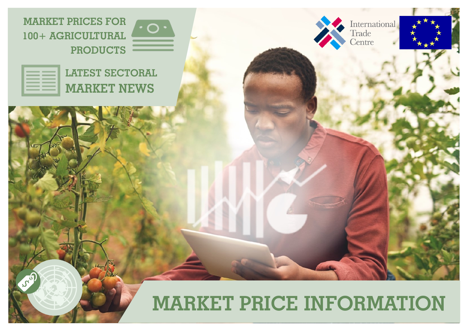

| <b>LATEST SECTORAL</b> |
|------------------------|
| MARKET NEWS            |

little

JSD



International<br>Trade



# **MARKET PRICE INFORMATION**